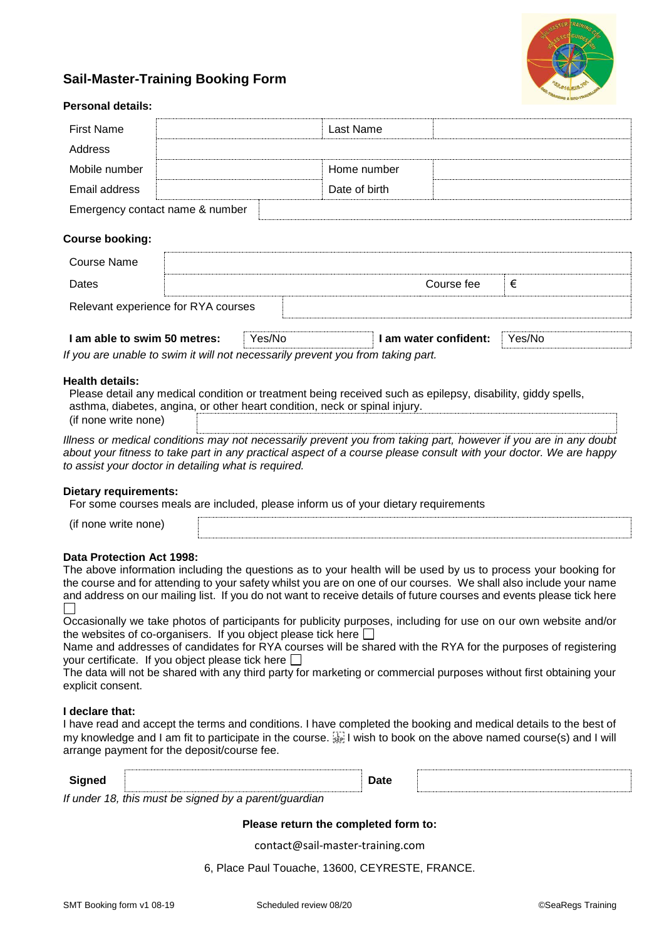

# **Sail-Master-Training Booking Form**

| Personal details:                   |  |               |            |   |  |  |  |
|-------------------------------------|--|---------------|------------|---|--|--|--|
| <b>First Name</b>                   |  | Last Name     |            |   |  |  |  |
| Address                             |  |               |            |   |  |  |  |
| Mobile number                       |  | Home number   |            |   |  |  |  |
| Email address                       |  | Date of birth |            |   |  |  |  |
| Emergency contact name & number     |  |               |            |   |  |  |  |
| <b>Course booking:</b>              |  |               |            |   |  |  |  |
| <b>Course Name</b>                  |  |               |            |   |  |  |  |
| Dates                               |  |               | Course fee | € |  |  |  |
| Relevant experience for RYA courses |  |               |            |   |  |  |  |
|                                     |  |               |            |   |  |  |  |

| I am able to swim 50 metres:                                                    | Yes/No | I am water confident: | Yes/No |
|---------------------------------------------------------------------------------|--------|-----------------------|--------|
| If you are unable to swim it will not necessarily prevent you from taking part. |        |                       |        |

### **Health details:**

**Personal details:**

| Please detail any medical condition or treatment being received such as epilepsy, disability, giddy spells, |
|-------------------------------------------------------------------------------------------------------------|
| asthma, diabetes, angina, or other heart condition, neck or spinal injury.                                  |
| (if none write none)                                                                                        |

*Illness or medical conditions may not necessarily prevent you from taking part, however if you are in any doubt about your fitness to take part in any practical aspect of a course please consult with your doctor. We are happy to assist your doctor in detailing what is required.*

### **Dietary requirements:**

For some courses meals are included, please inform us of your dietary requirements

(if none write none)

### **Data Protection Act 1998:**

The above information including the questions as to your health will be used by us to process your booking for the course and for attending to your safety whilst you are on one of our courses. We shall also include your name and address on our mailing list. If you do not want to receive details of future courses and events please tick here  $\Box$ 

Occasionally we take photos of participants for publicity purposes, including for use on our own website and/or the websites of co-organisers. If you object please tick here  $\square$ 

Name and addresses of candidates for RYA courses will be shared with the RYA for the purposes of registering your certificate. If you object please tick here  $\square$ 

The data will not be shared with any third party for marketing or commercial purposes without first obtaining your explicit consent.

### **I declare that:**

I have read and accept the terms and conditions. I have completed the booking and medical details to the best of my knowledge and I am fit to participate in the course.  $\frac{1}{2}$  I wish to book on the above named course(s) and I will arrange payment for the deposit/course fee.

| Signed |                                                                                | Date |  |
|--------|--------------------------------------------------------------------------------|------|--|
|        |                                                                                |      |  |
|        | If $\cdots$ deviated this municipal is equipment in the properties of $\alpha$ |      |  |

*If under 18, this must be signed by a parent/guardian*

### **Please return the completed form to:**

contact@sail-master-training.com

6, Place Paul Touache, 13600, CEYRESTE, FRANCE.